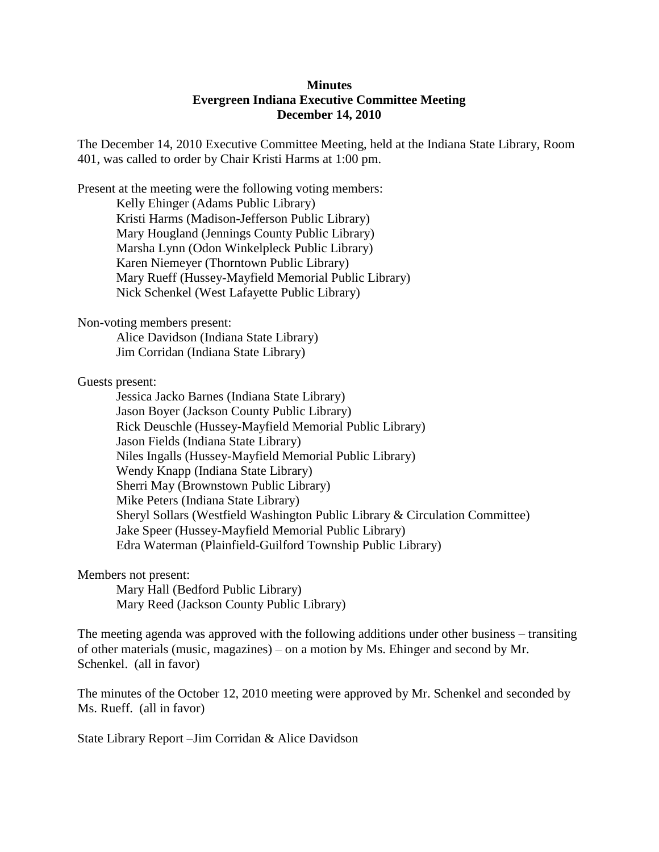## **Minutes Evergreen Indiana Executive Committee Meeting December 14, 2010**

The December 14, 2010 Executive Committee Meeting, held at the Indiana State Library, Room 401, was called to order by Chair Kristi Harms at 1:00 pm.

Present at the meeting were the following voting members: Kelly Ehinger (Adams Public Library) Kristi Harms (Madison-Jefferson Public Library) Mary Hougland (Jennings County Public Library) Marsha Lynn (Odon Winkelpleck Public Library) Karen Niemeyer (Thorntown Public Library) Mary Rueff (Hussey-Mayfield Memorial Public Library) Nick Schenkel (West Lafayette Public Library)

## Non-voting members present:

Alice Davidson (Indiana State Library) Jim Corridan (Indiana State Library)

Guests present:

Jessica Jacko Barnes (Indiana State Library) Jason Boyer (Jackson County Public Library) Rick Deuschle (Hussey-Mayfield Memorial Public Library) Jason Fields (Indiana State Library) Niles Ingalls (Hussey-Mayfield Memorial Public Library) Wendy Knapp (Indiana State Library) Sherri May (Brownstown Public Library) Mike Peters (Indiana State Library) Sheryl Sollars (Westfield Washington Public Library & Circulation Committee) Jake Speer (Hussey-Mayfield Memorial Public Library) Edra Waterman (Plainfield-Guilford Township Public Library)

## Members not present:

Mary Hall (Bedford Public Library) Mary Reed (Jackson County Public Library)

The meeting agenda was approved with the following additions under other business – transiting of other materials (music, magazines) – on a motion by Ms. Ehinger and second by Mr. Schenkel. (all in favor)

The minutes of the October 12, 2010 meeting were approved by Mr. Schenkel and seconded by Ms. Rueff. (all in favor)

State Library Report –Jim Corridan & Alice Davidson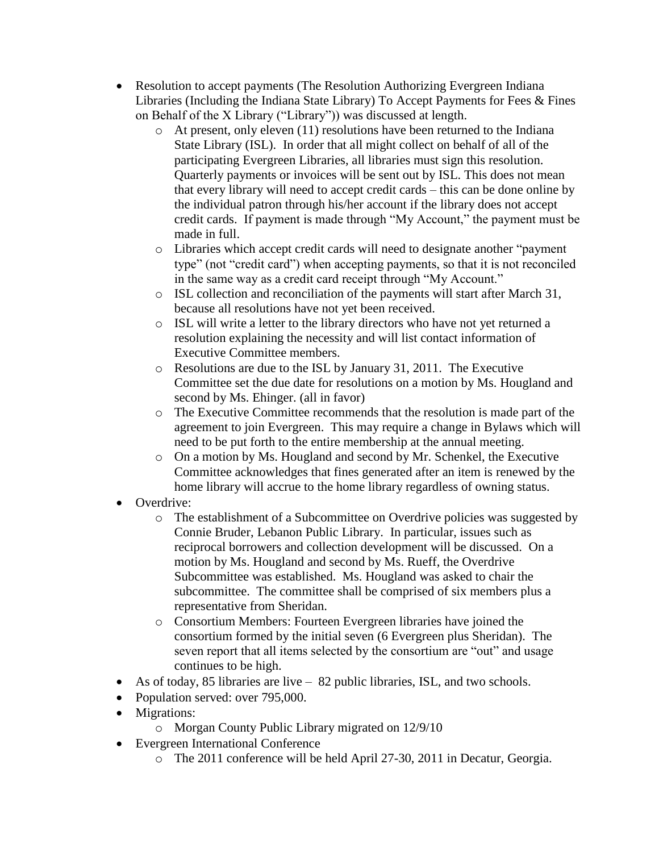- Resolution to accept payments (The Resolution Authorizing Evergreen Indiana Libraries (Including the Indiana State Library) To Accept Payments for Fees & Fines on Behalf of the X Library ("Library")) was discussed at length.
	- o At present, only eleven (11) resolutions have been returned to the Indiana State Library (ISL). In order that all might collect on behalf of all of the participating Evergreen Libraries, all libraries must sign this resolution. Quarterly payments or invoices will be sent out by ISL. This does not mean that every library will need to accept credit cards – this can be done online by the individual patron through his/her account if the library does not accept credit cards. If payment is made through "My Account," the payment must be made in full.
	- o Libraries which accept credit cards will need to designate another "payment type" (not "credit card") when accepting payments, so that it is not reconciled in the same way as a credit card receipt through "My Account."
	- o ISL collection and reconciliation of the payments will start after March 31, because all resolutions have not yet been received.
	- o ISL will write a letter to the library directors who have not yet returned a resolution explaining the necessity and will list contact information of Executive Committee members.
	- o Resolutions are due to the ISL by January 31, 2011. The Executive Committee set the due date for resolutions on a motion by Ms. Hougland and second by Ms. Ehinger. (all in favor)
	- o The Executive Committee recommends that the resolution is made part of the agreement to join Evergreen. This may require a change in Bylaws which will need to be put forth to the entire membership at the annual meeting.
	- $\circ$  On a motion by Ms. Hougland and second by Mr. Schenkel, the Executive Committee acknowledges that fines generated after an item is renewed by the home library will accrue to the home library regardless of owning status.
- Overdrive:
	- o The establishment of a Subcommittee on Overdrive policies was suggested by Connie Bruder, Lebanon Public Library. In particular, issues such as reciprocal borrowers and collection development will be discussed. On a motion by Ms. Hougland and second by Ms. Rueff, the Overdrive Subcommittee was established. Ms. Hougland was asked to chair the subcommittee. The committee shall be comprised of six members plus a representative from Sheridan.
	- o Consortium Members: Fourteen Evergreen libraries have joined the consortium formed by the initial seven (6 Evergreen plus Sheridan). The seven report that all items selected by the consortium are "out" and usage continues to be high.
- As of today, 85 libraries are live 82 public libraries, ISL, and two schools.
- Population served: over 795,000.
- Migrations:
	- o Morgan County Public Library migrated on 12/9/10
- Evergreen International Conference
	- o The 2011 conference will be held April 27-30, 2011 in Decatur, Georgia.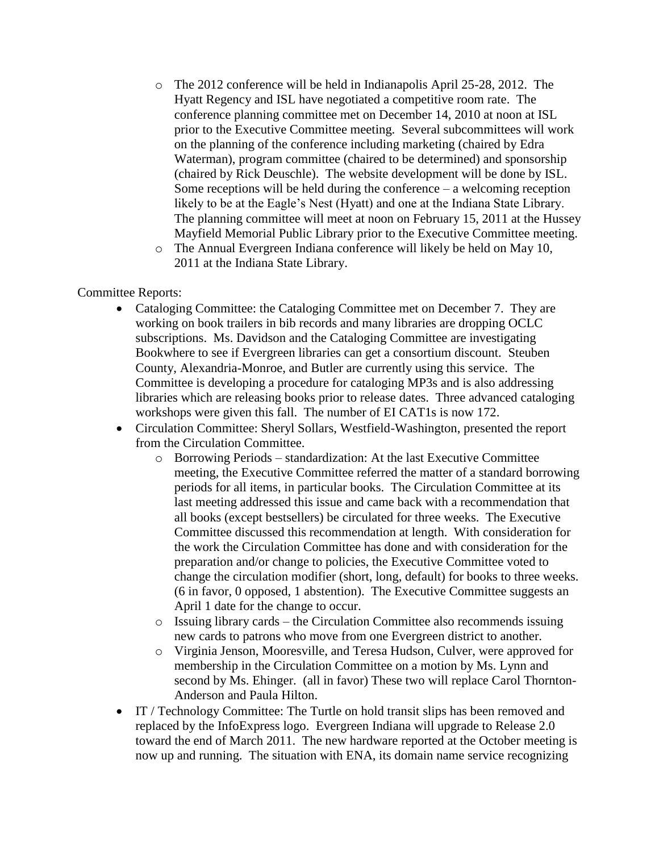- o The 2012 conference will be held in Indianapolis April 25-28, 2012. The Hyatt Regency and ISL have negotiated a competitive room rate. The conference planning committee met on December 14, 2010 at noon at ISL prior to the Executive Committee meeting. Several subcommittees will work on the planning of the conference including marketing (chaired by Edra Waterman), program committee (chaired to be determined) and sponsorship (chaired by Rick Deuschle). The website development will be done by ISL. Some receptions will be held during the conference  $-$  a welcoming reception likely to be at the Eagle's Nest (Hyatt) and one at the Indiana State Library. The planning committee will meet at noon on February 15, 2011 at the Hussey Mayfield Memorial Public Library prior to the Executive Committee meeting.
- o The Annual Evergreen Indiana conference will likely be held on May 10, 2011 at the Indiana State Library.

## Committee Reports:

- Cataloging Committee: the Cataloging Committee met on December 7. They are working on book trailers in bib records and many libraries are dropping OCLC subscriptions. Ms. Davidson and the Cataloging Committee are investigating Bookwhere to see if Evergreen libraries can get a consortium discount. Steuben County, Alexandria-Monroe, and Butler are currently using this service. The Committee is developing a procedure for cataloging MP3s and is also addressing libraries which are releasing books prior to release dates. Three advanced cataloging workshops were given this fall. The number of EI CAT1s is now 172.
- Circulation Committee: Sheryl Sollars, Westfield-Washington, presented the report from the Circulation Committee.
	- o Borrowing Periods standardization: At the last Executive Committee meeting, the Executive Committee referred the matter of a standard borrowing periods for all items, in particular books. The Circulation Committee at its last meeting addressed this issue and came back with a recommendation that all books (except bestsellers) be circulated for three weeks. The Executive Committee discussed this recommendation at length. With consideration for the work the Circulation Committee has done and with consideration for the preparation and/or change to policies, the Executive Committee voted to change the circulation modifier (short, long, default) for books to three weeks. (6 in favor, 0 opposed, 1 abstention). The Executive Committee suggests an April 1 date for the change to occur.
	- o Issuing library cards the Circulation Committee also recommends issuing new cards to patrons who move from one Evergreen district to another.
	- o Virginia Jenson, Mooresville, and Teresa Hudson, Culver, were approved for membership in the Circulation Committee on a motion by Ms. Lynn and second by Ms. Ehinger. (all in favor) These two will replace Carol Thornton-Anderson and Paula Hilton.
- IT / Technology Committee: The Turtle on hold transit slips has been removed and replaced by the InfoExpress logo. Evergreen Indiana will upgrade to Release 2.0 toward the end of March 2011. The new hardware reported at the October meeting is now up and running. The situation with ENA, its domain name service recognizing